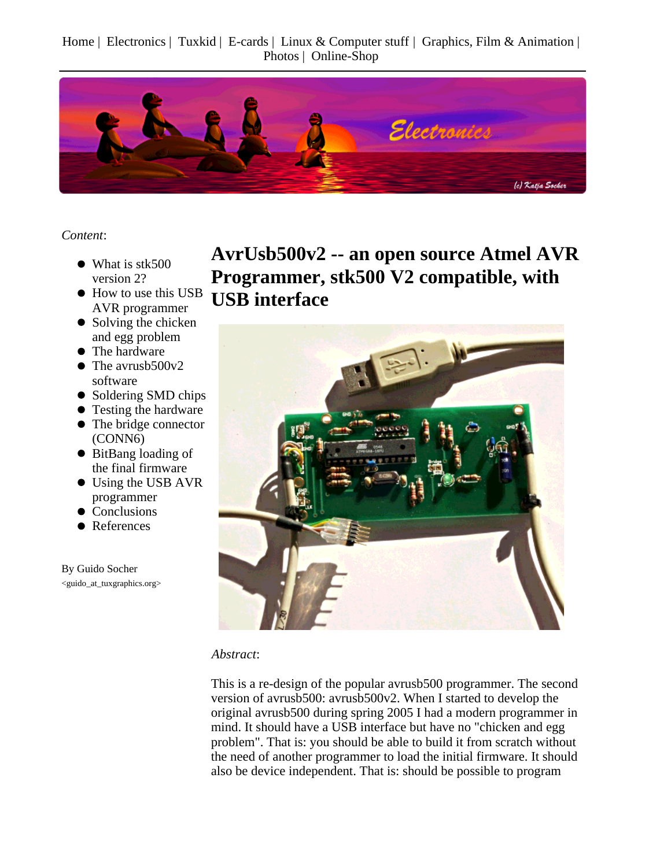Home | Electronics | Tuxkid | E-cards | Linux & Computer stuff | Graphics, Film & Animation | Photos | Online-Shop



*Content*:

- What is stk500 version 2?
- How to use this USB AVR programmer
- Solving the chicken and egg problem
- The hardware
- The avrusb500v2 software
- Soldering SMD chips
- Testing the hardware
- The bridge connector (CONN6)
- BitBang loading of the final firmware
- Using the USB AVR programmer
- Conclusions
- References

By Guido Socher <guido\_at\_tuxgraphics.org> **AvrUsb500v2 -- an open source Atmel AVR Programmer, stk500 V2 compatible, with USB interface**



#### *Abstract*:

This is a re-design of the popular avrusb500 programmer. The second version of avrusb500: avrusb500v2. When I started to develop the original avrusb500 during spring 2005 I had a modern programmer in mind. It should have a USB interface but have no "chicken and egg problem". That is: you should be able to build it from scratch without the need of another programmer to load the initial firmware. It should also be device independent. That is: should be possible to program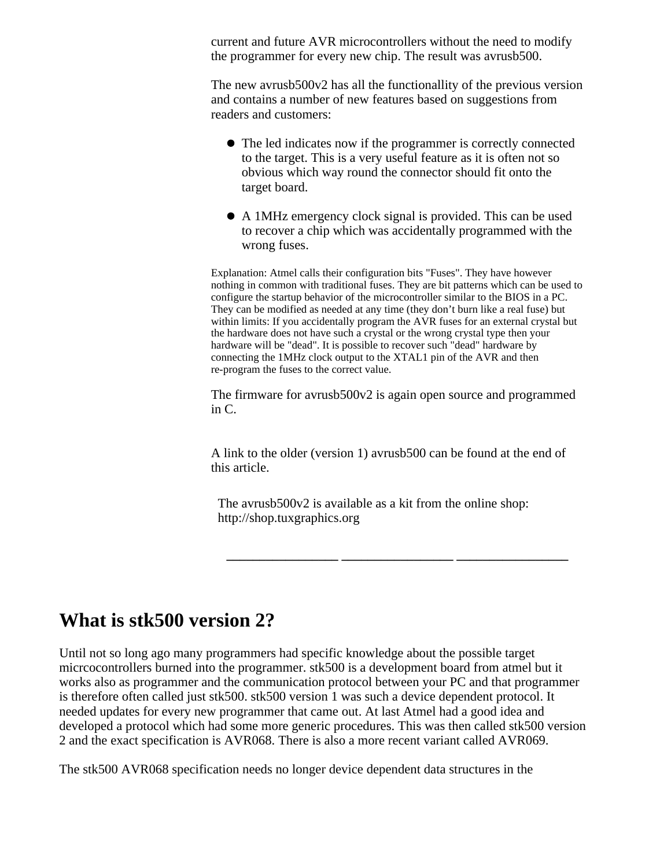current and future AVR microcontrollers without the need to modify the programmer for every new chip. The result was avrusb500.

The new avrusb500v2 has all the functionallity of the previous version and contains a number of new features based on suggestions from readers and customers:

- The led indicates now if the programmer is correctly connected to the target. This is a very useful feature as it is often not so obvious which way round the connector should fit onto the target board.
- A 1MHz emergency clock signal is provided. This can be used to recover a chip which was accidentally programmed with the wrong fuses.

Explanation: Atmel calls their configuration bits "Fuses". They have however nothing in common with traditional fuses. They are bit patterns which can be used to configure the startup behavior of the microcontroller similar to the BIOS in a PC. They can be modified as needed at any time (they don't burn like a real fuse) but within limits: If you accidentally program the AVR fuses for an external crystal but the hardware does not have such a crystal or the wrong crystal type then your hardware will be "dead". It is possible to recover such "dead" hardware by connecting the 1MHz clock output to the XTAL1 pin of the AVR and then re-program the fuses to the correct value.

The firmware for avrusb500v2 is again open source and programmed in C.

A link to the older (version 1) avrusb500 can be found at the end of this article.

**\_\_\_\_\_\_\_\_\_\_\_\_\_\_\_\_\_ \_\_\_\_\_\_\_\_\_\_\_\_\_\_\_\_\_ \_\_\_\_\_\_\_\_\_\_\_\_\_\_\_\_\_**

The avrusb500v2 is available as a kit from the online shop: http://shop.tuxgraphics.org

#### **What is stk500 version 2?**

Until not so long ago many programmers had specific knowledge about the possible target micrcocontrollers burned into the programmer. stk500 is a development board from atmel but it works also as programmer and the communication protocol between your PC and that programmer is therefore often called just stk500. stk500 version 1 was such a device dependent protocol. It needed updates for every new programmer that came out. At last Atmel had a good idea and developed a protocol which had some more generic procedures. This was then called stk500 version 2 and the exact specification is AVR068. There is also a more recent variant called AVR069.

The stk500 AVR068 specification needs no longer device dependent data structures in the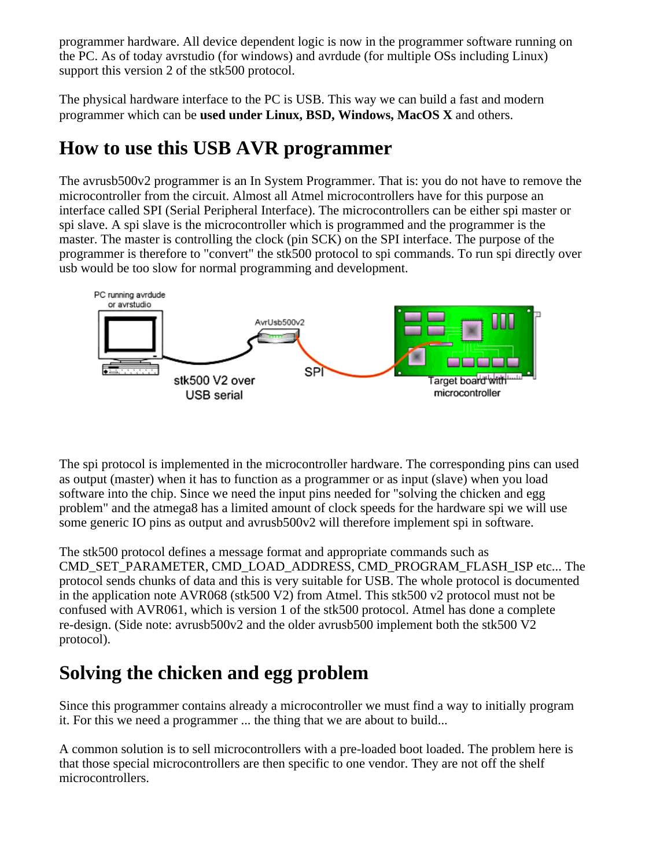programmer hardware. All device dependent logic is now in the programmer software running on the PC. As of today avrstudio (for windows) and avrdude (for multiple OSs including Linux) support this version 2 of the stk500 protocol.

The physical hardware interface to the PC is USB. This way we can build a fast and modern programmer which can be **used under Linux, BSD, Windows, MacOS X** and others.

## **How to use this USB AVR programmer**

The avrusb500v2 programmer is an In System Programmer. That is: you do not have to remove the microcontroller from the circuit. Almost all Atmel microcontrollers have for this purpose an interface called SPI (Serial Peripheral Interface). The microcontrollers can be either spi master or spi slave. A spi slave is the microcontroller which is programmed and the programmer is the master. The master is controlling the clock (pin SCK) on the SPI interface. The purpose of the programmer is therefore to "convert" the stk500 protocol to spi commands. To run spi directly over usb would be too slow for normal programming and development.



The spi protocol is implemented in the microcontroller hardware. The corresponding pins can used as output (master) when it has to function as a programmer or as input (slave) when you load software into the chip. Since we need the input pins needed for "solving the chicken and egg problem" and the atmega8 has a limited amount of clock speeds for the hardware spi we will use some generic IO pins as output and avrusb500v2 will therefore implement spi in software.

The stk500 protocol defines a message format and appropriate commands such as CMD\_SET\_PARAMETER, CMD\_LOAD\_ADDRESS, CMD\_PROGRAM\_FLASH\_ISP etc... The protocol sends chunks of data and this is very suitable for USB. The whole protocol is documented in the application note AVR068 (stk500 V2) from Atmel. This stk500 v2 protocol must not be confused with AVR061, which is version 1 of the stk500 protocol. Atmel has done a complete re-design. (Side note: avrusb500v2 and the older avrusb500 implement both the stk500 V2 protocol).

# **Solving the chicken and egg problem**

Since this programmer contains already a microcontroller we must find a way to initially program it. For this we need a programmer ... the thing that we are about to build...

A common solution is to sell microcontrollers with a pre-loaded boot loaded. The problem here is that those special microcontrollers are then specific to one vendor. They are not off the shelf microcontrollers.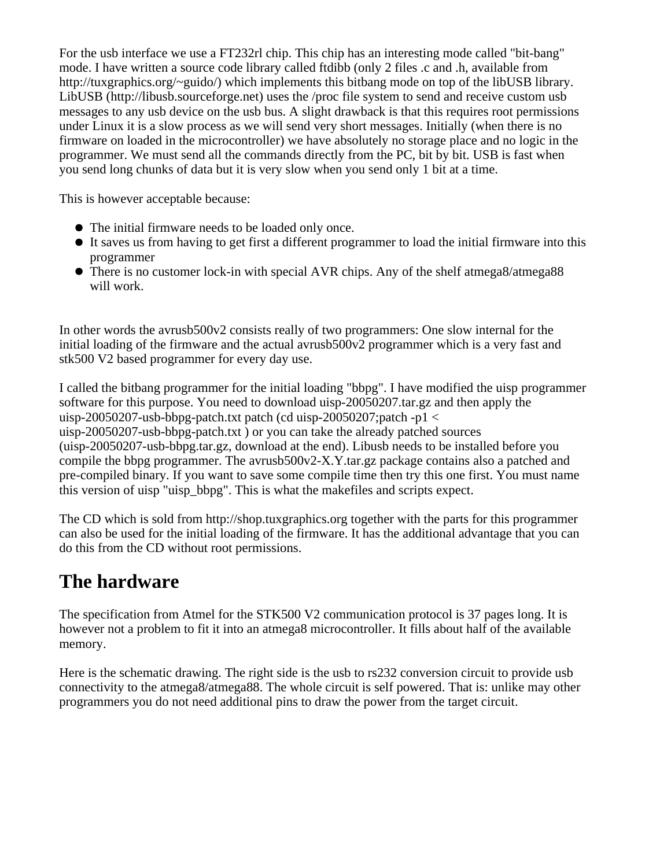For the usb interface we use a FT232rl chip. This chip has an interesting mode called "bit-bang" mode. I have written a source code library called ftdibb (only 2 files .c and .h, available from http://tuxgraphics.org/~guido/) which implements this bitbang mode on top of the libUSB library. LibUSB (http://libusb.sourceforge.net) uses the /proc file system to send and receive custom usb messages to any usb device on the usb bus. A slight drawback is that this requires root permissions under Linux it is a slow process as we will send very short messages. Initially (when there is no firmware on loaded in the microcontroller) we have absolutely no storage place and no logic in the programmer. We must send all the commands directly from the PC, bit by bit. USB is fast when you send long chunks of data but it is very slow when you send only 1 bit at a time.

This is however acceptable because:

- The initial firmware needs to be loaded only once.
- It saves us from having to get first a different programmer to load the initial firmware into this programmer
- There is no customer lock-in with special AVR chips. Any of the shelf atmega8/atmega88 will work.

In other words the avrusb500v2 consists really of two programmers: One slow internal for the initial loading of the firmware and the actual avrusb500v2 programmer which is a very fast and stk500 V2 based programmer for every day use.

I called the bitbang programmer for the initial loading "bbpg". I have modified the uisp programmer software for this purpose. You need to download uisp-20050207.tar.gz and then apply the uisp-20050207-usb-bbpg-patch.txt patch (cd uisp-20050207;patch -p1  $\lt$ uisp-20050207-usb-bbpg-patch.txt ) or you can take the already patched sources (uisp-20050207-usb-bbpg.tar.gz, download at the end). Libusb needs to be installed before you compile the bbpg programmer. The avrusb500v2-X.Y.tar.gz package contains also a patched and pre-compiled binary. If you want to save some compile time then try this one first. You must name this version of uisp "uisp\_bbpg". This is what the makefiles and scripts expect.

The CD which is sold from http://shop.tuxgraphics.org together with the parts for this programmer can also be used for the initial loading of the firmware. It has the additional advantage that you can do this from the CD without root permissions.

## **The hardware**

The specification from Atmel for the STK500 V2 communication protocol is 37 pages long. It is however not a problem to fit it into an atmega8 microcontroller. It fills about half of the available memory.

Here is the schematic drawing. The right side is the usb to rs232 conversion circuit to provide usb connectivity to the atmega8/atmega88. The whole circuit is self powered. That is: unlike may other programmers you do not need additional pins to draw the power from the target circuit.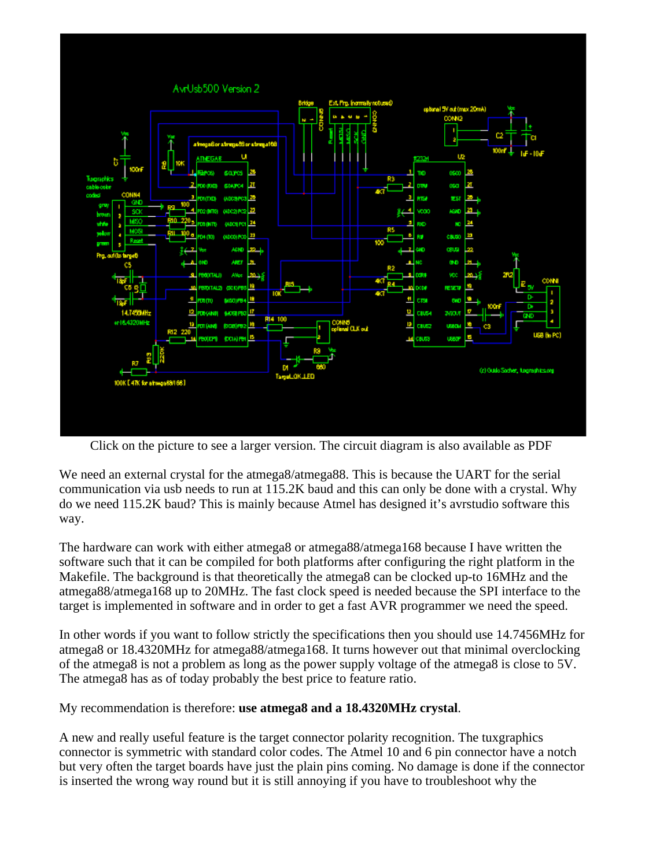

Click on the picture to see a larger version. The circuit diagram is also available as PDF

We need an external crystal for the atmega8/atmega88. This is because the UART for the serial communication via usb needs to run at 115.2K baud and this can only be done with a crystal. Why do we need 115.2K baud? This is mainly because Atmel has designed it's avrstudio software this way.

The hardware can work with either atmega8 or atmega88/atmega168 because I have written the software such that it can be compiled for both platforms after configuring the right platform in the Makefile. The background is that theoretically the atmega8 can be clocked up-to 16MHz and the atmega88/atmega168 up to 20MHz. The fast clock speed is needed because the SPI interface to the target is implemented in software and in order to get a fast AVR programmer we need the speed.

In other words if you want to follow strictly the specifications then you should use 14.7456MHz for atmega8 or 18.4320MHz for atmega88/atmega168. It turns however out that minimal overclocking of the atmega8 is not a problem as long as the power supply voltage of the atmega8 is close to 5V. The atmega8 has as of today probably the best price to feature ratio.

My recommendation is therefore: **use atmega8 and a 18.4320MHz crystal**.

A new and really useful feature is the target connector polarity recognition. The tuxgraphics connector is symmetric with standard color codes. The Atmel 10 and 6 pin connector have a notch but very often the target boards have just the plain pins coming. No damage is done if the connector is inserted the wrong way round but it is still annoying if you have to troubleshoot why the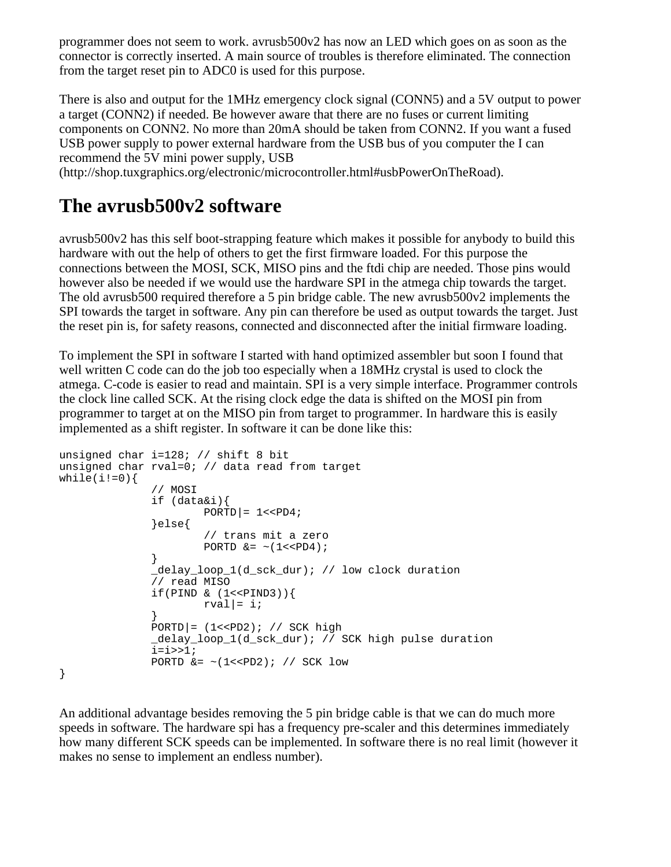programmer does not seem to work. avrusb500v2 has now an LED which goes on as soon as the connector is correctly inserted. A main source of troubles is therefore eliminated. The connection from the target reset pin to ADC0 is used for this purpose.

There is also and output for the 1MHz emergency clock signal (CONN5) and a 5V output to power a target (CONN2) if needed. Be however aware that there are no fuses or current limiting components on CONN2. No more than 20mA should be taken from CONN2. If you want a fused USB power supply to power external hardware from the USB bus of you computer the I can recommend the 5V mini power supply, USB

(http://shop.tuxgraphics.org/electronic/microcontroller.html#usbPowerOnTheRoad).

### **The avrusb500v2 software**

avrusb500v2 has this self boot-strapping feature which makes it possible for anybody to build this hardware with out the help of others to get the first firmware loaded. For this purpose the connections between the MOSI, SCK, MISO pins and the ftdi chip are needed. Those pins would however also be needed if we would use the hardware SPI in the atmega chip towards the target. The old avrusb500 required therefore a 5 pin bridge cable. The new avrusb500v2 implements the SPI towards the target in software. Any pin can therefore be used as output towards the target. Just the reset pin is, for safety reasons, connected and disconnected after the initial firmware loading.

To implement the SPI in software I started with hand optimized assembler but soon I found that well written C code can do the job too especially when a 18MHz crystal is used to clock the atmega. C-code is easier to read and maintain. SPI is a very simple interface. Programmer controls the clock line called SCK. At the rising clock edge the data is shifted on the MOSI pin from programmer to target at on the MISO pin from target to programmer. In hardware this is easily implemented as a shift register. In software it can be done like this:

```
unsigned char i=128; // shift 8 bit
unsigned char rval=0; // data read from target
while(i!=0)\{ // MOSI
               if (data&i){
                      PORTD = 1 << PD4;
               }else{
                       // trans mit a zero
                     PORTD &= \sim (1 << PD4);
 }
               _delay_loop_1(d_sck_dur); // low clock duration
               // read MISO
              if(PIND & (1<<PIND3))rval|= i;
 }
             PORTD = (1 < PD2); // SCK high _delay_loop_1(d_sck_dur); // SCK high pulse duration
              i=i>>1;PORTD &= \sim (1 << PD2); // SCK low
```
}

An additional advantage besides removing the 5 pin bridge cable is that we can do much more speeds in software. The hardware spi has a frequency pre-scaler and this determines immediately how many different SCK speeds can be implemented. In software there is no real limit (however it makes no sense to implement an endless number).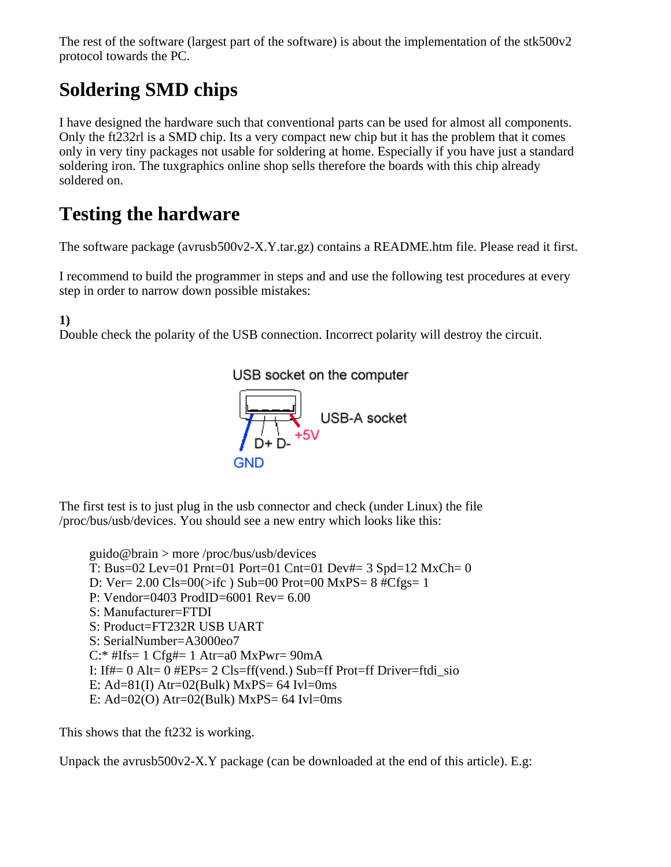The rest of the software (largest part of the software) is about the implementation of the stk500v2 protocol towards the PC.

# **Soldering SMD chips**

I have designed the hardware such that conventional parts can be used for almost all components. Only the ft232rl is a SMD chip. Its a very compact new chip but it has the problem that it comes only in very tiny packages not usable for soldering at home. Especially if you have just a standard soldering iron. The tuxgraphics online shop sells therefore the boards with this chip already soldered on.

# **Testing the hardware**

The software package (avrusb500v2-X.Y.tar.gz) contains a README.htm file. Please read it first.

I recommend to build the programmer in steps and and use the following test procedures at every step in order to narrow down possible mistakes:

**1)**

Double check the polarity of the USB connection. Incorrect polarity will destroy the circuit.



The first test is to just plug in the usb connector and check (under Linux) the file /proc/bus/usb/devices. You should see a new entry which looks like this:

guido@brain > more /proc/bus/usb/devices T: Bus=02 Lev=01 Prnt=01 Port=01 Cnt=01 Dev#= 3 Spd=12 MxCh= 0 D: Ver= 2.00 Cls=00(>ifc ) Sub=00 Prot=00 MxPS= 8 #Cfgs= 1 P: Vendor=0403 ProdID=6001 Rev= 6.00 S: Manufacturer=FTDI S: Product=FT232R USB UART S: SerialNumber=A3000eo7  $C$ :\* #Ifs= 1  $Cfg$ #= 1 Atr=a0 MxPwr= 90mA I: If#= 0 Alt= 0 #EPs= 2 Cls=ff(vend.) Sub=ff Prot=ff Driver=ftdi sio E: Ad= $81(I)$  Atr= $02(Bulk)$  MxPS= 64 Ivl=0ms E: Ad= $02(0)$  Atr= $02(Bulk)$  MxPS= 64 Ivl=0ms

This shows that the ft232 is working.

Unpack the avrusb $500v2-X.Y$  package (can be downloaded at the end of this article). E.g: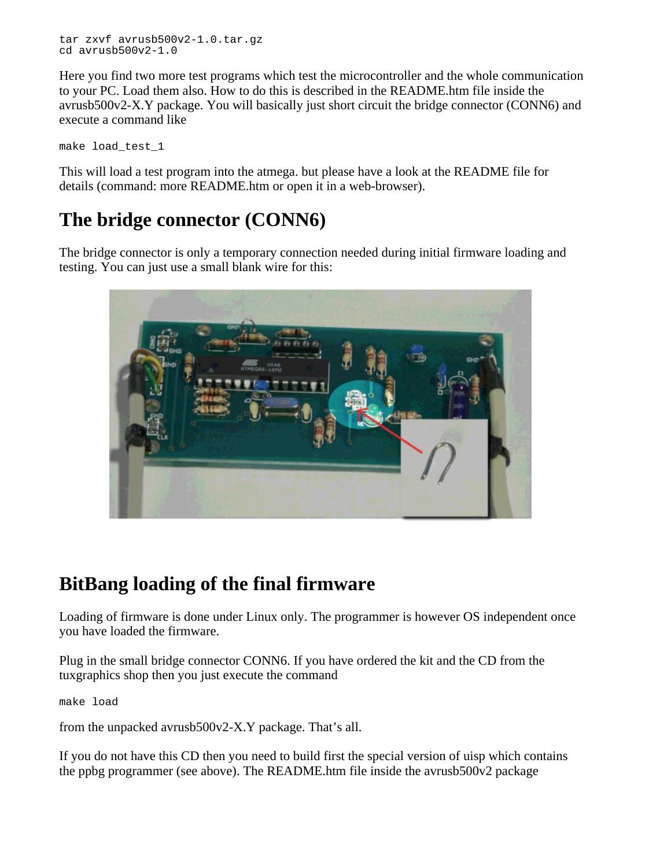tar zxvf avrusb500v2-1.0.tar.gz cd avrusb500v2-1.0

Here you find two more test programs which test the microcontroller and the whole communication to your PC. Load them also. How to do this is described in the README.htm file inside the avrusb500v2-X.Y package. You will basically just short circuit the bridge connector (CONN6) and execute a command like

make load\_test\_1

This will load a test program into the atmega. but please have a look at the README file for details (command: more README.htm or open it in a web-browser).

## **The bridge connector (CONN6)**

The bridge connector is only a temporary connection needed during initial firmware loading and testing. You can just use a small blank wire for this:



### **BitBang loading of the final firmware**

Loading of firmware is done under Linux only. The programmer is however OS independent once you have loaded the firmware.

Plug in the small bridge connector CONN6. If you have ordered the kit and the CD from the tuxgraphics shop then you just execute the command

make load

from the unpacked avrusb500v2-X.Y package. That's all.

If you do not have this CD then you need to build first the special version of uisp which contains the ppbg programmer (see above). The README.htm file inside the avrusb500v2 package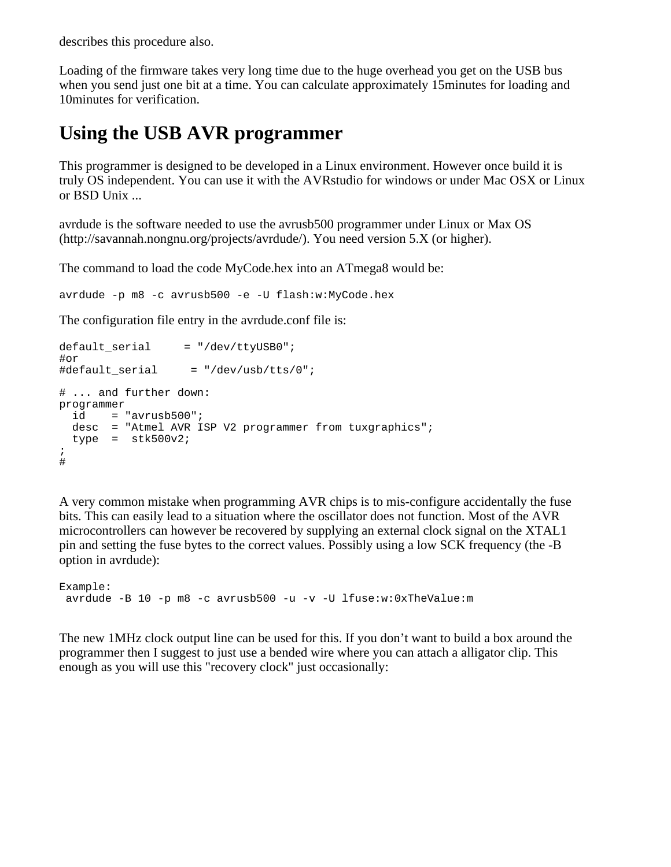describes this procedure also.

Loading of the firmware takes very long time due to the huge overhead you get on the USB bus when you send just one bit at a time. You can calculate approximately 15minutes for loading and 10minutes for verification.

## **Using the USB AVR programmer**

This programmer is designed to be developed in a Linux environment. However once build it is truly OS independent. You can use it with the AVRstudio for windows or under Mac OSX or Linux or BSD Unix ...

avrdude is the software needed to use the avrusb500 programmer under Linux or Max OS (http://savannah.nongnu.org/projects/avrdude/). You need version 5.X (or higher).

The command to load the code MyCode.hex into an ATmega8 would be:

avrdude -p m8 -c avrusb500 -e -U flash:w:MyCode.hex

The configuration file entry in the avrdude.conf file is:

```
default serial = "/dev/ttyUSB0";
#or
#default serial = \sqrt{(dev/usb/tts/0)};
# ... and further down:
programmer
 id = "avrusb500"; desc = "Atmel AVR ISP V2 programmer from tuxgraphics";
  type = stk500v2;
;
#
```
A very common mistake when programming AVR chips is to mis-configure accidentally the fuse bits. This can easily lead to a situation where the oscillator does not function. Most of the AVR microcontrollers can however be recovered by supplying an external clock signal on the XTAL1 pin and setting the fuse bytes to the correct values. Possibly using a low SCK frequency (the -B option in avrdude):

```
Example:
  avrdude -B 10 -p m8 -c avrusb500 -u -v -U lfuse:w:0xTheValue:m
```
The new 1MHz clock output line can be used for this. If you don't want to build a box around the programmer then I suggest to just use a bended wire where you can attach a alligator clip. This enough as you will use this "recovery clock" just occasionally: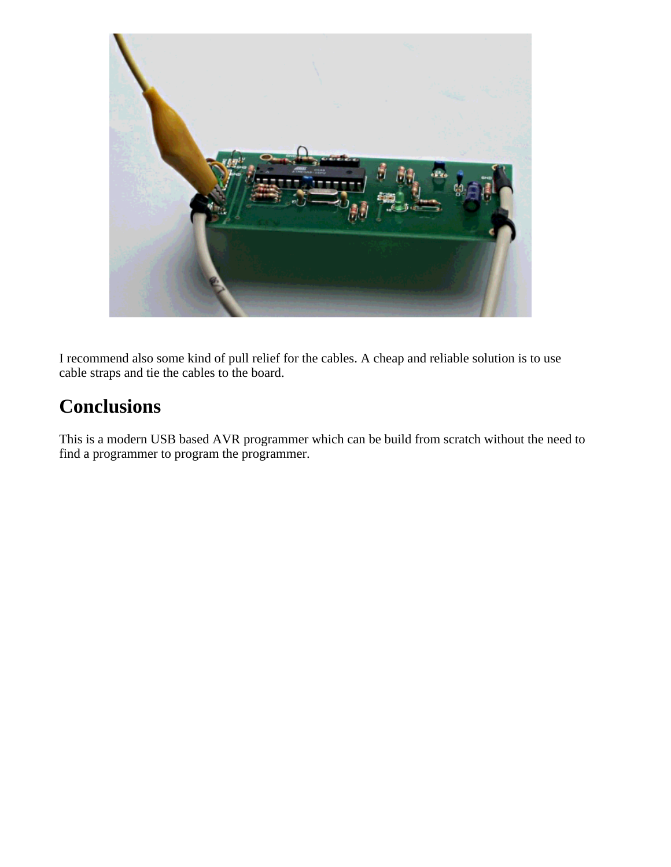

I recommend also some kind of pull relief for the cables. A cheap and reliable solution is to use cable straps and tie the cables to the board.

# **Conclusions**

This is a modern USB based AVR programmer which can be build from scratch without the need to find a programmer to program the programmer.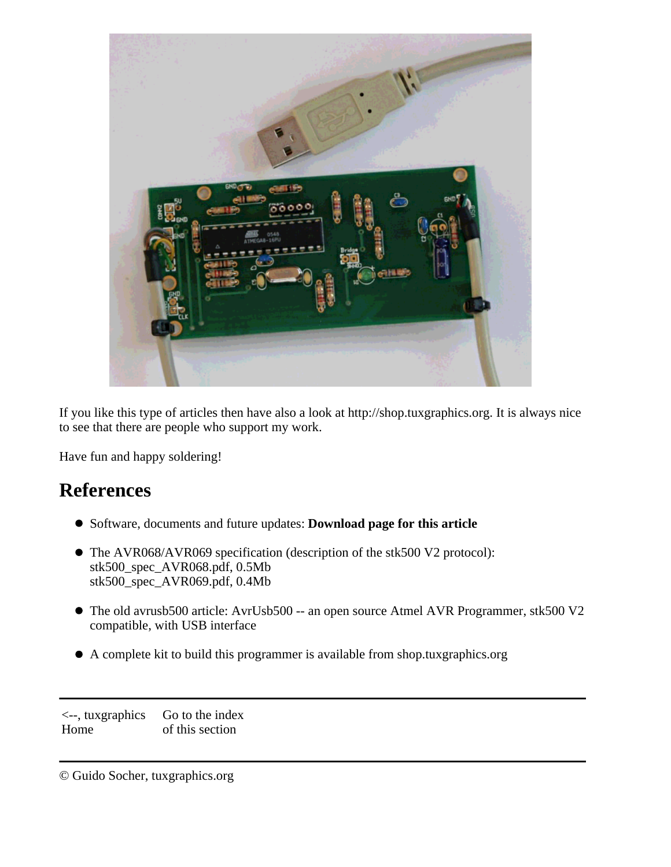

If you like this type of articles then have also a look at http://shop.tuxgraphics.org. It is always nice to see that there are people who support my work.

Have fun and happy soldering!

#### **References**

- Software, documents and future updates: **Download page for this article**
- The AVR068/AVR069 specification (description of the stk500 V2 protocol): stk500\_spec\_AVR068.pdf, 0.5Mb stk500\_spec\_AVR069.pdf, 0.4Mb
- The old avrusb500 article: AvrUsb500 -- an open source Atmel AVR Programmer, stk500 V2 compatible, with USB interface
- A complete kit to build this programmer is available from shop.tuxgraphics.org

<--, tuxgraphics Home Go to the index of this section